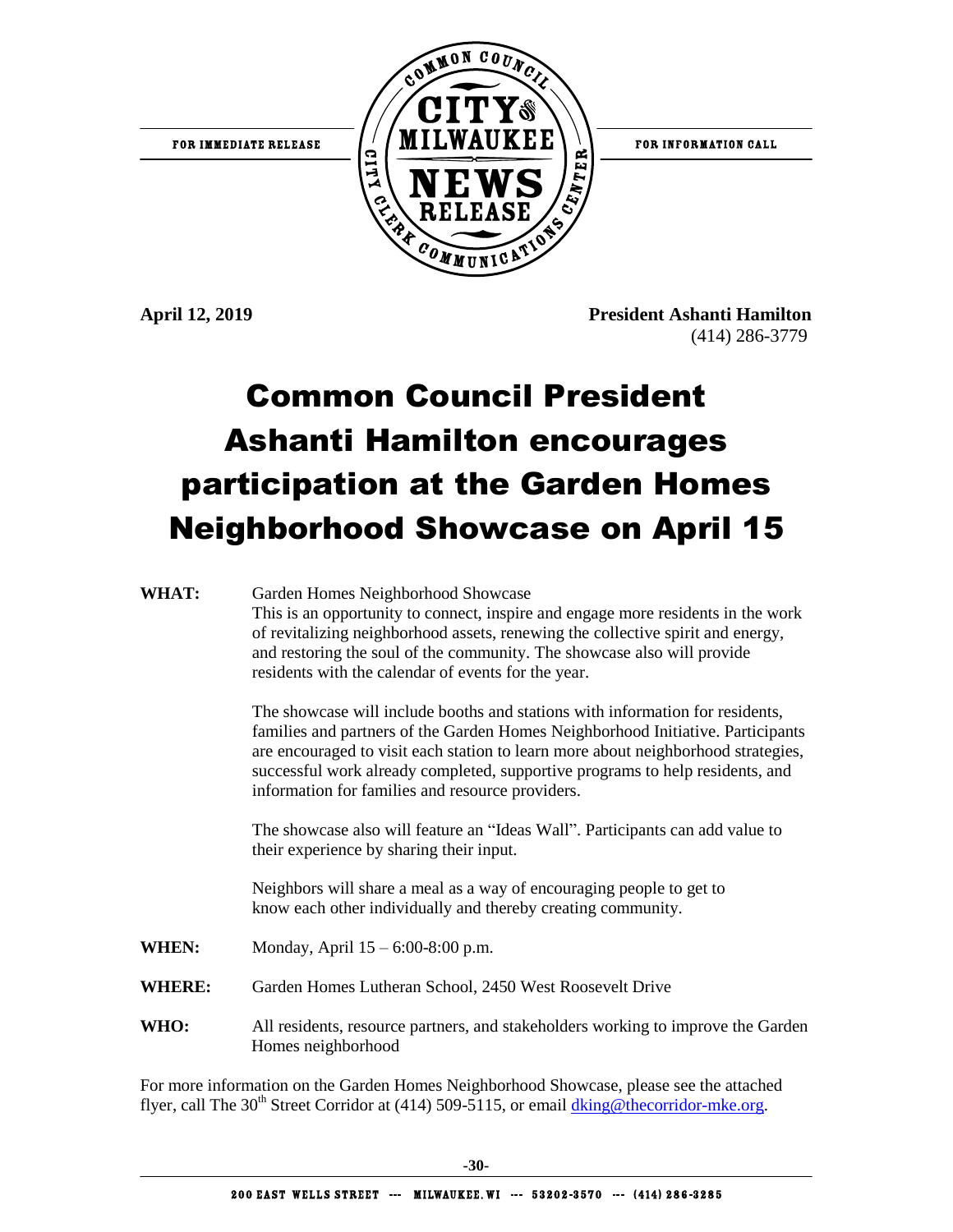

**April 12, 2019 President Ashanti Hamilton** (414) 286-3779

## Common Council President Ashanti Hamilton encourages participation at the Garden Homes Neighborhood Showcase on April 15

| WHAT:         | Garden Homes Neighborhood Showcase<br>This is an opportunity to connect, inspire and engage more residents in the work<br>of revitalizing neighborhood assets, renewing the collective spirit and energy,<br>and restoring the soul of the community. The showcase also will provide<br>residents with the calendar of events for the year.                                                |
|---------------|--------------------------------------------------------------------------------------------------------------------------------------------------------------------------------------------------------------------------------------------------------------------------------------------------------------------------------------------------------------------------------------------|
|               | The showcase will include booths and stations with information for residents,<br>families and partners of the Garden Homes Neighborhood Initiative. Participants<br>are encouraged to visit each station to learn more about neighborhood strategies,<br>successful work already completed, supportive programs to help residents, and<br>information for families and resource providers. |
|               | The showcase also will feature an "Ideas Wall". Participants can add value to<br>their experience by sharing their input.                                                                                                                                                                                                                                                                  |
|               | Neighbors will share a meal as a way of encouraging people to get to<br>know each other individually and thereby creating community.                                                                                                                                                                                                                                                       |
| WHEN:         | Monday, April 15 – 6:00-8:00 p.m.                                                                                                                                                                                                                                                                                                                                                          |
| <b>WHERE:</b> | Garden Homes Lutheran School, 2450 West Roosevelt Drive                                                                                                                                                                                                                                                                                                                                    |
| WHO:          | All residents, resource partners, and stakeholders working to improve the Garden<br>Homes neighborhood                                                                                                                                                                                                                                                                                     |

For more information on the Garden Homes Neighborhood Showcase, please see the attached flyer, call The 30<sup>th</sup> Street Corridor at (414) 509-5115, or email [dking@thecorridor-mke.org.](mailto:dking@thecorridor-mke.org)